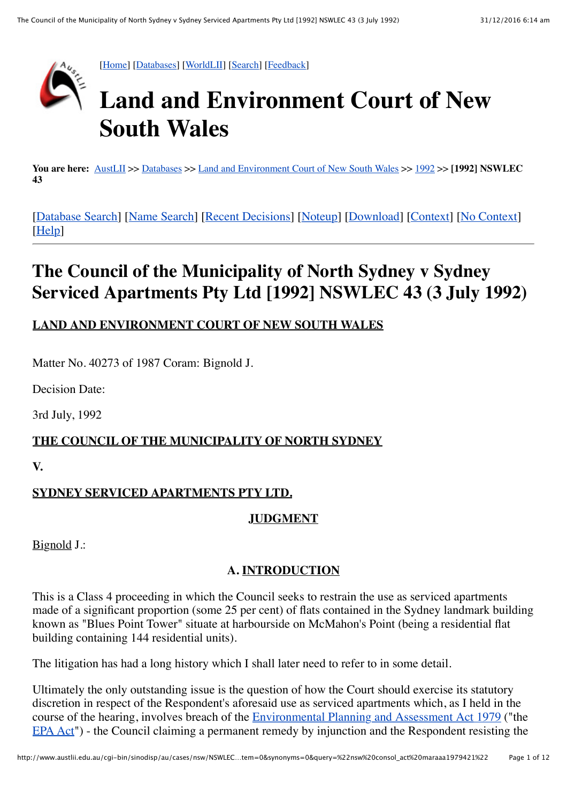

**You are here:** [AustLII](http://www.austlii.edu.au/) >> [Databases](http://www.austlii.edu.au/databases.html) >> [Land and Environment Court of New South Wales](http://www.austlii.edu.au/cgi-bin/sinodisp/au/cases/nsw/NSWLEC/) >> [1992](http://www.austlii.edu.au/cgi-bin/sinodisp/au/cases/nsw/NSWLEC/1992/) >> **[1992] NSWLEC 43**

[\[Database Search\]](http://www.austlii.edu.au/form/search1.html?mask=au/cases/nsw/NSWLEC) [\[Name Search\]](http://www.austlii.edu.au/form/search1.html?mask=au/cases/nsw/NSWLEC&title=1) [\[Recent Decisions\]](http://www.austlii.edu.au/cgi-bin/sinodisp/au/cases/nsw/NSWLEC/recent.html) [\[Noteup](http://www.austlii.edu.au/cgi-bin/sinosrch.cgi?method=boolean&query=NSWLEC+1992+43%20or%201992+NSWLEC+43)] [[Download\]](http://www.austlii.edu.au/cgi-bin/sinodisp/au/cases/nsw/NSWLEC/1992/43.txt) [\[Context\]](http://www.austlii.edu.au/cgi-bin/sinodisp/au/cases/nsw/NSWLEC/1992/43.html?stem=0&synonyms=0&query=%22nsw%20consol_act%20maraaa1979421%22#disp1) [\[No Context\]](http://www.austlii.edu.au/cgi-bin/sinodisp/au/cases/nsw/NSWLEC/1992/43.html?stem=0&synonyms=0&query=%22nsw%20consol_act%20maraaa1979421%22&nocontext=1) [\[Help\]](http://www.austlii.edu.au/austlii/help/cases.html)

# **The Council of the Municipality of North Sydney v Sydney Serviced Apartments Pty Ltd [1992] NSWLEC 43 (3 July 1992)**

# **LAND AND ENVIRONMENT COURT OF NEW SOUTH WALES**

Matter No. 40273 of 1987 Coram: Bignold J.

Decision Date:

3rd July, 1992

# **THE COUNCIL OF THE MUNICIPALITY OF NORTH SYDNEY**

**V.**

# **SYDNEY SERVICED APARTMENTS PTY LTD.**

#### **JUDGMENT**

Bignold J.:

# **A. INTRODUCTION**

This is a Class 4 proceeding in which the Council seeks to restrain the use as serviced apartments made of a significant proportion (some 25 per cent) of flats contained in the Sydney landmark building known as "Blues Point Tower" situate at harbourside on McMahon's Point (being a residential flat building containing 144 residential units).

The litigation has had a long history which I shall later need to refer to in some detail.

Ultimately the only outstanding issue is the question of how the Court should exercise its statutory discretion in respect of the Respondent's aforesaid use as serviced apartments which, as I held in the course of the hearing, involves breach of the **Environmental Planning and Assessment Act 1979** ("the [EPA Act](http://www.austlii.edu.au/au/legis/nsw/consol_act/epaaa1979389/)") - the Council claiming a permanent remedy by injunction and the Respondent resisting the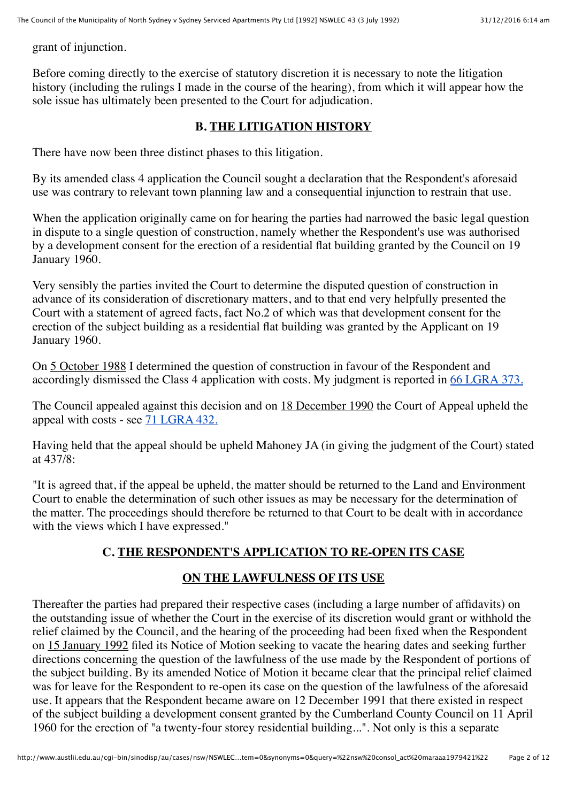grant of injunction.

Before coming directly to the exercise of statutory discretion it is necessary to note the litigation history (including the rulings I made in the course of the hearing), from which it will appear how the sole issue has ultimately been presented to the Court for adjudication.

#### **B. THE LITIGATION HISTORY**

There have now been three distinct phases to this litigation.

By its amended class 4 application the Council sought a declaration that the Respondent's aforesaid use was contrary to relevant town planning law and a consequential injunction to restrain that use.

When the application originally came on for hearing the parties had narrowed the basic legal question in dispute to a single question of construction, namely whether the Respondent's use was authorised by a development consent for the erection of a residential flat building granted by the Council on 19 January 1960.

Very sensibly the parties invited the Court to determine the disputed question of construction in advance of its consideration of discretionary matters, and to that end very helpfully presented the Court with a statement of agreed facts, fact No.2 of which was that development consent for the erection of the subject building as a residential flat building was granted by the Applicant on 19 January 1960.

On 5 October 1988 I determined the question of construction in favour of the Respondent and accordingly dismissed the Class 4 application with costs. My judgment is reported in [66 LGRA 373.](http://www.austlii.edu.au/cgi-bin/LawCite?cit=66%20LGRA%20373?stem=0&synonyms=0&query=%22nsw%20consol_act%20maraaa1979421%22)

The Council appealed against this decision and on 18 December 1990 the Court of Appeal upheld the appeal with costs - see  $71$  LGRA 432.

Having held that the appeal should be upheld Mahoney JA (in giving the judgment of the Court) stated at 437/8:

"It is agreed that, if the appeal be upheld, the matter should be returned to the Land and Environment Court to enable the determination of such other issues as may be necessary for the determination of the matter. The proceedings should therefore be returned to that Court to be dealt with in accordance with the views which I have expressed."

# **C. THE RESPONDENT'S APPLICATION TO RE-OPEN ITS CASE**

#### **ON THE LAWFULNESS OF ITS USE**

Thereafter the parties had prepared their respective cases (including a large number of affidavits) on the outstanding issue of whether the Court in the exercise of its discretion would grant or withhold the relief claimed by the Council, and the hearing of the proceeding had been fixed when the Respondent on 15 January 1992 filed its Notice of Motion seeking to vacate the hearing dates and seeking further directions concerning the question of the lawfulness of the use made by the Respondent of portions of the subject building. By its amended Notice of Motion it became clear that the principal relief claimed was for leave for the Respondent to re-open its case on the question of the lawfulness of the aforesaid use. It appears that the Respondent became aware on 12 December 1991 that there existed in respect of the subject building a development consent granted by the Cumberland County Council on 11 April 1960 for the erection of "a twenty-four storey residential building...". Not only is this a separate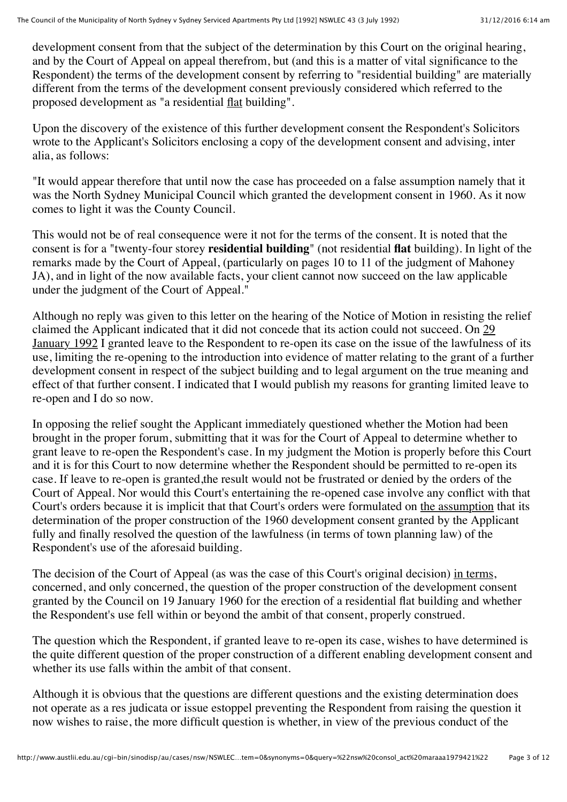development consent from that the subject of the determination by this Court on the original hearing, and by the Court of Appeal on appeal therefrom, but (and this is a matter of vital significance to the Respondent) the terms of the development consent by referring to "residential building" are materially different from the terms of the development consent previously considered which referred to the proposed development as "a residential flat building".

Upon the discovery of the existence of this further development consent the Respondent's Solicitors wrote to the Applicant's Solicitors enclosing a copy of the development consent and advising, inter alia, as follows:

"It would appear therefore that until now the case has proceeded on a false assumption namely that it was the North Sydney Municipal Council which granted the development consent in 1960. As it now comes to light it was the County Council.

This would not be of real consequence were it not for the terms of the consent. It is noted that the consent is for a "twenty-four storey **residential building**" (not residential **flat** building). In light of the remarks made by the Court of Appeal, (particularly on pages 10 to 11 of the judgment of Mahoney JA), and in light of the now available facts, your client cannot now succeed on the law applicable under the judgment of the Court of Appeal."

Although no reply was given to this letter on the hearing of the Notice of Motion in resisting the relief claimed the Applicant indicated that it did not concede that its action could not succeed. On 29 January 1992 I granted leave to the Respondent to re-open its case on the issue of the lawfulness of its use, limiting the re-opening to the introduction into evidence of matter relating to the grant of a further development consent in respect of the subject building and to legal argument on the true meaning and effect of that further consent. I indicated that I would publish my reasons for granting limited leave to re-open and I do so now.

In opposing the relief sought the Applicant immediately questioned whether the Motion had been brought in the proper forum, submitting that it was for the Court of Appeal to determine whether to grant leave to re-open the Respondent's case. In my judgment the Motion is properly before this Court and it is for this Court to now determine whether the Respondent should be permitted to re-open its case. If leave to re-open is granted,the result would not be frustrated or denied by the orders of the Court of Appeal. Nor would this Court's entertaining the re-opened case involve any conflict with that Court's orders because it is implicit that that Court's orders were formulated on the assumption that its determination of the proper construction of the 1960 development consent granted by the Applicant fully and finally resolved the question of the lawfulness (in terms of town planning law) of the Respondent's use of the aforesaid building.

The decision of the Court of Appeal (as was the case of this Court's original decision) in terms, concerned, and only concerned, the question of the proper construction of the development consent granted by the Council on 19 January 1960 for the erection of a residential flat building and whether the Respondent's use fell within or beyond the ambit of that consent, properly construed.

The question which the Respondent, if granted leave to re-open its case, wishes to have determined is the quite different question of the proper construction of a different enabling development consent and whether its use falls within the ambit of that consent.

Although it is obvious that the questions are different questions and the existing determination does not operate as a res judicata or issue estoppel preventing the Respondent from raising the question it now wishes to raise, the more difficult question is whether, in view of the previous conduct of the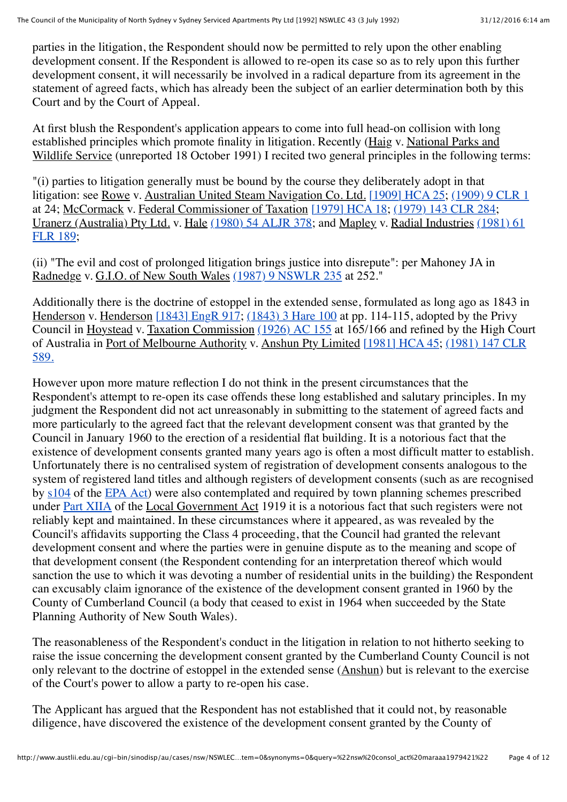parties in the litigation, the Respondent should now be permitted to rely upon the other enabling development consent. If the Respondent is allowed to re-open its case so as to rely upon this further development consent, it will necessarily be involved in a radical departure from its agreement in the statement of agreed facts, which has already been the subject of an earlier determination both by this Court and by the Court of Appeal.

At first blush the Respondent's application appears to come into full head-on collision with long established principles which promote finality in litigation. Recently (Haig v. National Parks and Wildlife Service (unreported 18 October 1991) I recited two general principles in the following terms:

"(i) parties to litigation generally must be bound by the course they deliberately adopt in that litigation: see Rowe v. Australian United Steam Navigation Co. Ltd. [\[1909\] HCA 25](http://www.austlii.edu.au/au/cases/cth/HCA/1909/25.html); [\(1909\) 9 CLR 1](http://www.austlii.edu.au/cgi-bin/LawCite?cit=%281909%29%209%20CLR%201?stem=0&synonyms=0&query=%22nsw%20consol_act%20maraaa1979421%22) at 24; McCormack v. Federal Commissioner of Taxation [\[1979\] HCA 18](http://www.austlii.edu.au/au/cases/cth/HCA/1979/18.html); [\(1979\) 143 CLR 284;](http://www.austlii.edu.au/cgi-bin/LawCite?cit=%281979%29%20143%20CLR%20284?stem=0&synonyms=0&query=%22nsw%20consol_act%20maraaa1979421%22) Uranerz (Australia) Pty Ltd. v. Hale [\(1980\) 54 ALJR 378](http://www.austlii.edu.au/cgi-bin/LawCite?cit=%281980%29%2054%20ALJR%20378?stem=0&synonyms=0&query=%22nsw%20consol_act%20maraaa1979421%22)[; and Mapley v. Radial Industries](http://www.austlii.edu.au/cgi-bin/LawCite?cit=%281981%29%2061%20FLR%20189?stem=0&synonyms=0&query=%22nsw%20consol_act%20maraaa1979421%22) (1981) 61 FLR 189;

(ii) "The evil and cost of prolonged litigation brings justice into disrepute": per Mahoney JA in Radnedge v. G.I.O. of New South Wales [\(1987\) 9 NSWLR 235](http://www.austlii.edu.au/cgi-bin/LawCite?cit=%281987%29%209%20NSWLR%20235?stem=0&synonyms=0&query=%22nsw%20consol_act%20maraaa1979421%22) at 252."

Additionally there is the doctrine of estoppel in the extended sense, formulated as long ago as 1843 in Henderson v. Henderson [\[1843\] EngR 917;](http://www.worldlii.org/int/cases/EngR/1843/917.html) [\(1843\) 3 Hare 100](http://www.austlii.edu.au/cgi-bin/LawCite?cit=%281843%29%203%20Hare%20100?stem=0&synonyms=0&query=%22nsw%20consol_act%20maraaa1979421%22) at pp. 114-115, adopted by the Privy Council in Hoystead v. Taxation Commission [\(1926\) AC 155](http://www.austlii.edu.au/cgi-bin/LawCite?cit=%281926%29%20AC%20155?stem=0&synonyms=0&query=%22nsw%20consol_act%20maraaa1979421%22) at 165/166 and refined by the High Court [of Australia in Port of Melbourne Authority v. Anshun Pty Limited](http://www.austlii.edu.au/cgi-bin/LawCite?cit=%281981%29%20147%20CLR%20589?stem=0&synonyms=0&query=%22nsw%20consol_act%20maraaa1979421%22) [\[1981\] HCA 45;](http://www.austlii.edu.au/au/cases/cth/HCA/1981/45.html) (1981) 147 CLR 589.

However upon more mature reflection I do not think in the present circumstances that the Respondent's attempt to re-open its case offends these long established and salutary principles. In my judgment the Respondent did not act unreasonably in submitting to the statement of agreed facts and more particularly to the agreed fact that the relevant development consent was that granted by the Council in January 1960 to the erection of a residential flat building. It is a notorious fact that the existence of development consents granted many years ago is often a most difficult matter to establish. Unfortunately there is no centralised system of registration of development consents analogous to the system of registered land titles and although registers of development consents (such as are recognised by  $s104$  of the [EPA Act\)](http://www.austlii.edu.au/au/legis/nsw/consol_act/epaaa1979389/) were also contemplated and required by town planning schemes prescribed under [Part XIIA](http://www.austlii.edu.au/au/legis/nsw/consol_act/epaaa1979389/index.html#p12a) of the Local Government Act 1919 it is a notorious fact that such registers were not reliably kept and maintained. In these circumstances where it appeared, as was revealed by the Council's affidavits supporting the Class 4 proceeding, that the Council had granted the relevant development consent and where the parties were in genuine dispute as to the meaning and scope of that development consent (the Respondent contending for an interpretation thereof which would sanction the use to which it was devoting a number of residential units in the building) the Respondent can excusably claim ignorance of the existence of the development consent granted in 1960 by the County of Cumberland Council (a body that ceased to exist in 1964 when succeeded by the State Planning Authority of New South Wales).

The reasonableness of the Respondent's conduct in the litigation in relation to not hitherto seeking to raise the issue concerning the development consent granted by the Cumberland County Council is not only relevant to the doctrine of estoppel in the extended sense (Anshun) but is relevant to the exercise of the Court's power to allow a party to re-open his case.

The Applicant has argued that the Respondent has not established that it could not, by reasonable diligence, have discovered the existence of the development consent granted by the County of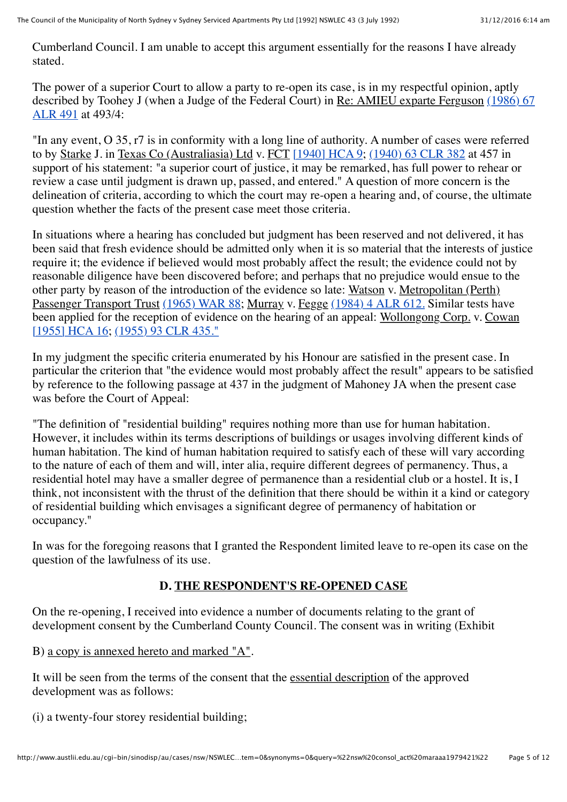Cumberland Council. I am unable to accept this argument essentially for the reasons I have already stated.

The power of a superior Court to allow a party to re-open its case, is in my respectful opinion, aptly [described by Toohey J \(when a Judge of the Federal Court\) in Re: AMIEU exparte Ferguson](http://www.austlii.edu.au/cgi-bin/LawCite?cit=%281986%29%2067%20ALR%20491?stem=0&synonyms=0&query=%22nsw%20consol_act%20maraaa1979421%22) (1986) 67 ALR 491 at 493/4:

"In any event, O 35, r7 is in conformity with a long line of authority. A number of cases were referred to by Starke J. in Texas Co (Australiasia) Ltd v. FCT [\[1940\] HCA 9;](http://www.austlii.edu.au/au/cases/cth/HCA/1940/9.html) [\(1940\) 63 CLR 382](http://www.austlii.edu.au/cgi-bin/LawCite?cit=%281940%29%2063%20CLR%20382?stem=0&synonyms=0&query=%22nsw%20consol_act%20maraaa1979421%22) at 457 in support of his statement: "a superior court of justice, it may be remarked, has full power to rehear or review a case until judgment is drawn up, passed, and entered." A question of more concern is the delineation of criteria, according to which the court may re-open a hearing and, of course, the ultimate question whether the facts of the present case meet those criteria.

In situations where a hearing has concluded but judgment has been reserved and not delivered, it has been said that fresh evidence should be admitted only when it is so material that the interests of justice require it; the evidence if believed would most probably affect the result; the evidence could not by reasonable diligence have been discovered before; and perhaps that no prejudice would ensue to the other party by reason of the introduction of the evidence so late: Watson v. Metropolitan (Perth) Passenger Transport Trust [\(1965\) WAR 88;](http://www.austlii.edu.au/cgi-bin/LawCite?cit=%281965%29%20WAR%2088?stem=0&synonyms=0&query=%22nsw%20consol_act%20maraaa1979421%22) Murray v. Fegge [\(1984\) 4 ALR 612.](http://www.austlii.edu.au/cgi-bin/LawCite?cit=%281984%29%204%20ALR%20612?stem=0&synonyms=0&query=%22nsw%20consol_act%20maraaa1979421%22) Similar tests have been applied for the reception of evidence on the hearing of an appeal: Wollongong Corp. v. Cowan [\[1955\] HCA 16;](http://www.austlii.edu.au/au/cases/cth/HCA/1955/16.html) [\(1955\) 93 CLR 435."](http://www.austlii.edu.au/cgi-bin/LawCite?cit=%281955%29%2093%20CLR%20435?stem=0&synonyms=0&query=%22nsw%20consol_act%20maraaa1979421%22)

In my judgment the specific criteria enumerated by his Honour are satisfied in the present case. In particular the criterion that "the evidence would most probably affect the result" appears to be satisfied by reference to the following passage at 437 in the judgment of Mahoney JA when the present case was before the Court of Appeal:

"The definition of "residential building" requires nothing more than use for human habitation. However, it includes within its terms descriptions of buildings or usages involving different kinds of human habitation. The kind of human habitation required to satisfy each of these will vary according to the nature of each of them and will, inter alia, require different degrees of permanency. Thus, a residential hotel may have a smaller degree of permanence than a residential club or a hostel. It is, I think, not inconsistent with the thrust of the definition that there should be within it a kind or category of residential building which envisages a significant degree of permanency of habitation or occupancy."

In was for the foregoing reasons that I granted the Respondent limited leave to re-open its case on the question of the lawfulness of its use.

#### **D. THE RESPONDENT'S RE-OPENED CASE**

On the re-opening, I received into evidence a number of documents relating to the grant of development consent by the Cumberland County Council. The consent was in writing (Exhibit

B) a copy is annexed hereto and marked "A".

It will be seen from the terms of the consent that the essential description of the approved development was as follows:

(i) a twenty-four storey residential building;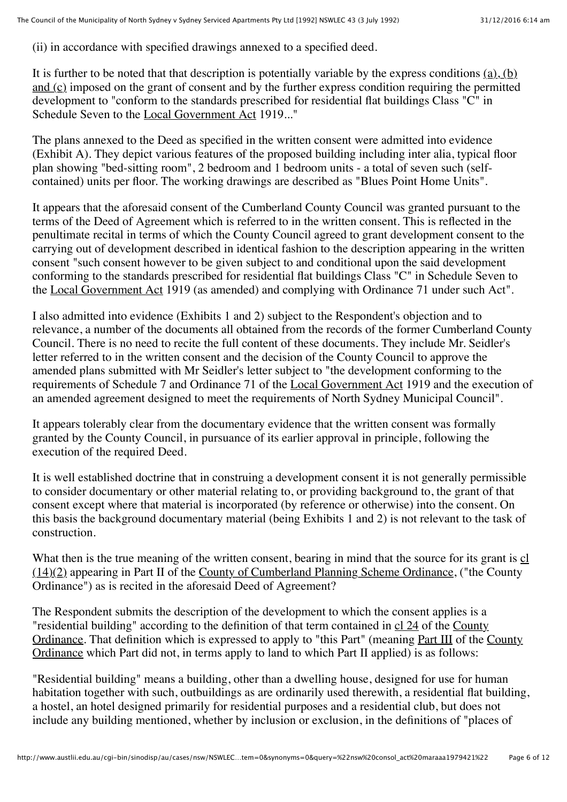(ii) in accordance with specified drawings annexed to a specified deed.

It is further to be noted that that description is potentially variable by the express conditions  $(a)$ ,  $(b)$ and (c) imposed on the grant of consent and by the further express condition requiring the permitted development to "conform to the standards prescribed for residential flat buildings Class "C" in Schedule Seven to the Local Government Act 1919..."

The plans annexed to the Deed as specified in the written consent were admitted into evidence (Exhibit A). They depict various features of the proposed building including inter alia, typical floor plan showing "bed-sitting room", 2 bedroom and 1 bedroom units - a total of seven such (selfcontained) units per floor. The working drawings are described as "Blues Point Home Units".

It appears that the aforesaid consent of the Cumberland County Council was granted pursuant to the terms of the Deed of Agreement which is referred to in the written consent. This is reflected in the penultimate recital in terms of which the County Council agreed to grant development consent to the carrying out of development described in identical fashion to the description appearing in the written consent "such consent however to be given subject to and conditional upon the said development conforming to the standards prescribed for residential flat buildings Class "C" in Schedule Seven to the Local Government Act 1919 (as amended) and complying with Ordinance 71 under such Act".

I also admitted into evidence (Exhibits 1 and 2) subject to the Respondent's objection and to relevance, a number of the documents all obtained from the records of the former Cumberland County Council. There is no need to recite the full content of these documents. They include Mr. Seidler's letter referred to in the written consent and the decision of the County Council to approve the amended plans submitted with Mr Seidler's letter subject to "the development conforming to the requirements of Schedule 7 and Ordinance 71 of the Local Government Act 1919 and the execution of an amended agreement designed to meet the requirements of North Sydney Municipal Council".

It appears tolerably clear from the documentary evidence that the written consent was formally granted by the County Council, in pursuance of its earlier approval in principle, following the execution of the required Deed.

It is well established doctrine that in construing a development consent it is not generally permissible to consider documentary or other material relating to, or providing background to, the grant of that consent except where that material is incorporated (by reference or otherwise) into the consent. On this basis the background documentary material (being Exhibits 1 and 2) is not relevant to the task of construction.

What then is the true meaning of the written consent, bearing in mind that the source for its grant is cl (14)(2) appearing in Part II of the County of Cumberland Planning Scheme Ordinance, ("the County Ordinance") as is recited in the aforesaid Deed of Agreement?

The Respondent submits the description of the development to which the consent applies is a "residential building" according to the definition of that term contained in cl 24 of the County Ordinance. That definition which is expressed to apply to "this Part" (meaning Part III of the County Ordinance which Part did not, in terms apply to land to which Part II applied) is as follows:

"Residential building" means a building, other than a dwelling house, designed for use for human habitation together with such, outbuildings as are ordinarily used therewith, a residential flat building, a hostel, an hotel designed primarily for residential purposes and a residential club, but does not include any building mentioned, whether by inclusion or exclusion, in the definitions of "places of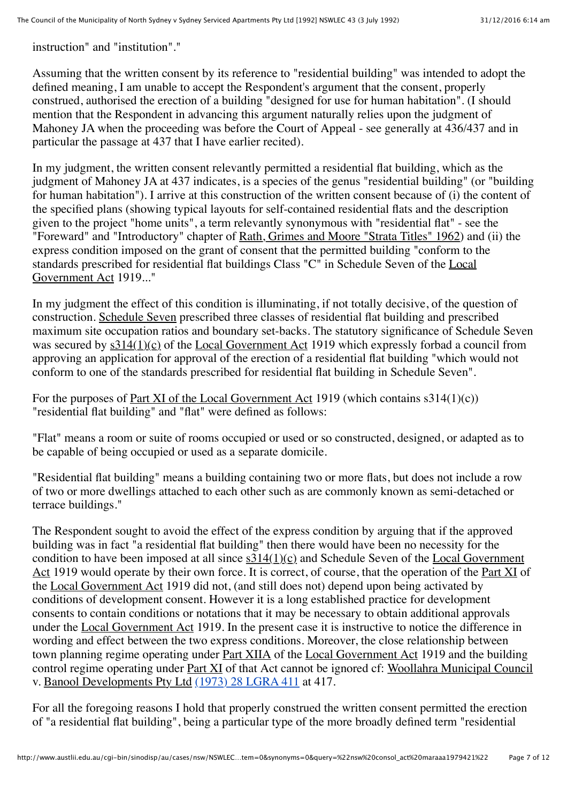instruction" and "institution"."

Assuming that the written consent by its reference to "residential building" was intended to adopt the defined meaning, I am unable to accept the Respondent's argument that the consent, properly construed, authorised the erection of a building "designed for use for human habitation". (I should mention that the Respondent in advancing this argument naturally relies upon the judgment of Mahoney JA when the proceeding was before the Court of Appeal - see generally at 436/437 and in particular the passage at 437 that I have earlier recited).

In my judgment, the written consent relevantly permitted a residential flat building, which as the judgment of Mahoney JA at 437 indicates, is a species of the genus "residential building" (or "building for human habitation"). I arrive at this construction of the written consent because of (i) the content of the specified plans (showing typical layouts for self-contained residential flats and the description given to the project "home units", a term relevantly synonymous with "residential flat" - see the "Foreward" and "Introductory" chapter of Rath, Grimes and Moore "Strata Titles" 1962) and (ii) the express condition imposed on the grant of consent that the permitted building "conform to the standards prescribed for residential flat buildings Class "C" in Schedule Seven of the Local Government Act 1919..."

In my judgment the effect of this condition is illuminating, if not totally decisive, of the question of construction. Schedule Seven prescribed three classes of residential flat building and prescribed maximum site occupation ratios and boundary set-backs. The statutory significance of Schedule Seven was secured by  $s314(1)(c)$  of the Local Government Act 1919 which expressly forbad a council from approving an application for approval of the erection of a residential flat building "which would not conform to one of the standards prescribed for residential flat building in Schedule Seven".

For the purposes of <u>Part XI of the Local Government Act</u> 1919 (which contains  $s314(1)(c)$ ) "residential flat building" and "flat" were defined as follows:

"Flat" means a room or suite of rooms occupied or used or so constructed, designed, or adapted as to be capable of being occupied or used as a separate domicile.

"Residential flat building" means a building containing two or more flats, but does not include a row of two or more dwellings attached to each other such as are commonly known as semi-detached or terrace buildings."

The Respondent sought to avoid the effect of the express condition by arguing that if the approved building was in fact "a residential flat building" then there would have been no necessity for the condition to have been imposed at all since s314(1)(c) and Schedule Seven of the Local Government Act 1919 would operate by their own force. It is correct, of course, that the operation of the Part XI of the Local Government Act 1919 did not, (and still does not) depend upon being activated by conditions of development consent. However it is a long established practice for development consents to contain conditions or notations that it may be necessary to obtain additional approvals under the Local Government Act 1919. In the present case it is instructive to notice the difference in wording and effect between the two express conditions. Moreover, the close relationship between town planning regime operating under Part XIIA of the Local Government Act 1919 and the building control regime operating under Part XI of that Act cannot be ignored cf: Woollahra Municipal Council v. Banool Developments Pty Ltd [\(1973\) 28 LGRA 411](http://www.austlii.edu.au/cgi-bin/LawCite?cit=%281973%29%2028%20LGRA%20411) at 417.

For all the foregoing reasons I hold that properly construed the written consent permitted the erection of "a residential flat building", being a particular type of the more broadly defined term "residential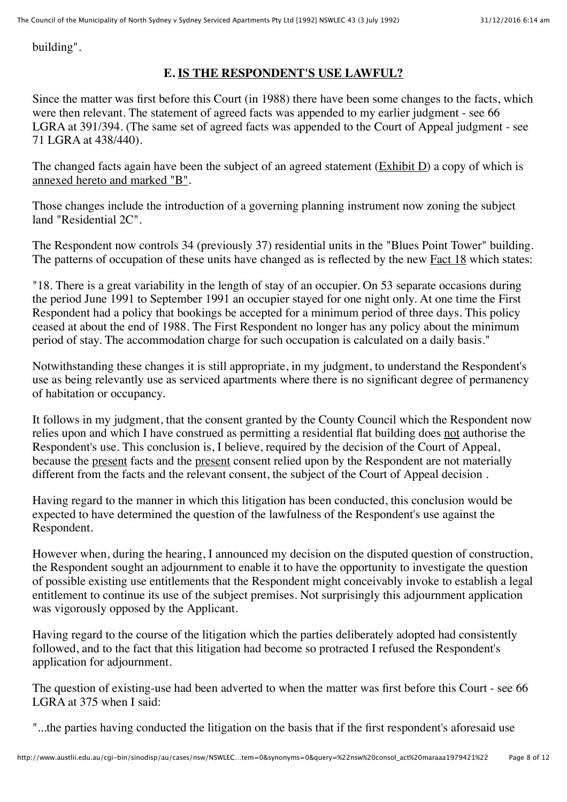building".

# **E. IS THE RESPONDENT'S USE LAWFUL?**

Since the matter was first before this Court (in 1988) there have been some changes to the facts, which were then relevant. The statement of agreed facts was appended to my earlier judgment - see 66 LGRA at 391/394. (The same set of agreed facts was appended to the Court of Appeal judgment - see 71 LGRA at 438/440).

The changed facts again have been the subject of an agreed statement (Exhibit D) a copy of which is annexed hereto and marked "B".

Those changes include the introduction of a governing planning instrument now zoning the subject land "Residential 2C".

The Respondent now controls 34 (previously 37) residential units in the "Blues Point Tower" building. The patterns of occupation of these units have changed as is reflected by the new Fact 18 which states:

"18. There is a great variability in the length of stay of an occupier. On 53 separate occasions during the period June 1991 to September 1991 an occupier stayed for one night only. At one time the First Respondent had a policy that bookings be accepted for a minimum period of three days. This policy ceased at about the end of 1988. The First Respondent no longer has any policy about the minimum period of stay. The accommodation charge for such occupation is calculated on a daily basis."

Notwithstanding these changes it is still appropriate, in my judgment, to understand the Respondent's use as being relevantly use as serviced apartments where there is no significant degree of permanency of habitation or occupancy.

It follows in my judgment, that the consent granted by the County Council which the Respondent now relies upon and which I have construed as permitting a residential flat building does not authorise the Respondent's use. This conclusion is, I believe, required by the decision of the Court of Appeal, because the present facts and the present consent relied upon by the Respondent are not materially different from the facts and the relevant consent, the subject of the Court of Appeal decision .

Having regard to the manner in which this litigation has been conducted, this conclusion would be expected to have determined the question of the lawfulness of the Respondent's use against the Respondent.

However when, during the hearing, I announced my decision on the disputed question of construction, the Respondent sought an adjournment to enable it to have the opportunity to investigate the question of possible existing use entitlements that the Respondent might conceivably invoke to establish a legal entitlement to continue its use of the subject premises. Not surprisingly this adjournment application was vigorously opposed by the Applicant.

Having regard to the course of the litigation which the parties deliberately adopted had consistently followed, and to the fact that this litigation had become so protracted I refused the Respondent's application for adjournment.

The question of existing-use had been adverted to when the matter was first before this Court - see 66 LGRA at 375 when I said:

"...the parties having conducted the litigation on the basis that if the first respondent's aforesaid use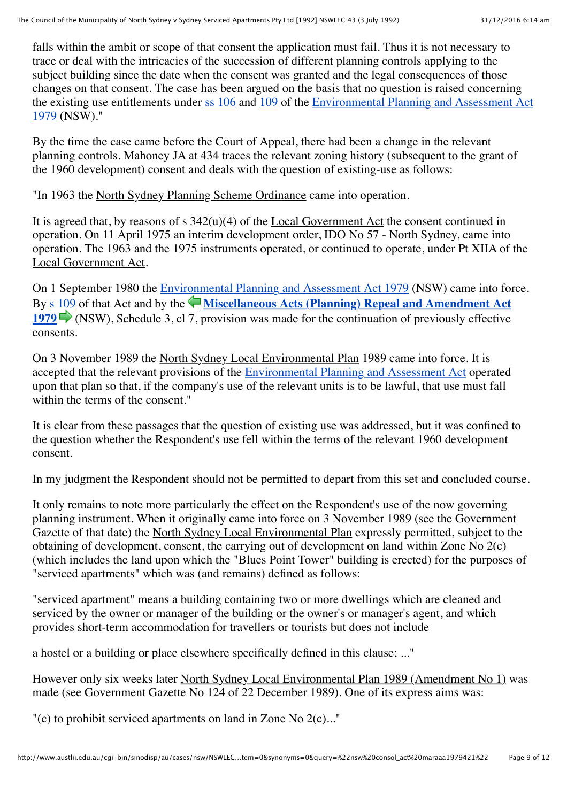falls within the ambit or scope of that consent the application must fail. Thus it is not necessary to trace or deal with the intricacies of the succession of different planning controls applying to the subject building since the date when the consent was granted and the legal consequences of those changes on that consent. The case has been argued on the basis that no question is raised concerning the existing use entitlements under [ss 106](http://www.austlii.edu.au/au/legis/nsw/consol_act/epaaa1979389/s106.html) and [109](http://www.austlii.edu.au/au/legis/nsw/consol_act/epaaa1979389/s109.html) of the [Environmental Planning and Assessment Act](http://www.austlii.edu.au/au/legis/nsw/consol_act/epaaa1979389/) [1979](http://www.austlii.edu.au/au/legis/nsw/consol_act/epaaa1979389/) (NSW)."

By the time the case came before the Court of Appeal, there had been a change in the relevant planning controls. Mahoney JA at 434 traces the relevant zoning history (subsequent to the grant of the 1960 development) consent and deals with the question of existing-use as follows:

"In 1963 the North Sydney Planning Scheme Ordinance came into operation.

It is agreed that, by reasons of s 342(u)(4) of the Local Government Act the consent continued in operation. On 11 April 1975 an interim development order, IDO No 57 - North Sydney, came into operation. The 1963 and the 1975 instruments operated, or continued to operate, under Pt XIIA of the Local Government Act.

On 1 September 1980 the [Environmental Planning and Assessment Act 1979](http://www.austlii.edu.au/au/legis/nsw/consol_act/epaaa1979389/) (NSW) came into force. By [s 109](http://www.austlii.edu.au/au/legis/nsw/consol_act/epaaa1979389/s109.html) ofthat Act and by the **[Miscellaneous Acts \(Planning\) Repeal and Amendment Act](http://www.austlii.edu.au/au/legis/nsw/consol_act/maraaa1979421/) [1979](http://www.austlii.edu.au/au/legis/nsw/consol_act/maraaa1979421/)**(NSW), Schedule 3, cl 7, provision was made for the continuation of previously effective consents.

On 3 November 1989 the North Sydney Local Environmental Plan 1989 came into force. It is accepted that the relevant provisions of the [Environmental Planning and Assessment Act](http://www.austlii.edu.au/au/legis/nsw/consol_act/epaaa1979389/) operated upon that plan so that, if the company's use of the relevant units is to be lawful, that use must fall within the terms of the consent."

It is clear from these passages that the question of existing use was addressed, but it was confined to the question whether the Respondent's use fell within the terms of the relevant 1960 development consent.

In my judgment the Respondent should not be permitted to depart from this set and concluded course.

It only remains to note more particularly the effect on the Respondent's use of the now governing planning instrument. When it originally came into force on 3 November 1989 (see the Government Gazette of that date) the North Sydney Local Environmental Plan expressly permitted, subject to the obtaining of development, consent, the carrying out of development on land within Zone No 2(c) (which includes the land upon which the "Blues Point Tower" building is erected) for the purposes of "serviced apartments" which was (and remains) defined as follows:

"serviced apartment" means a building containing two or more dwellings which are cleaned and serviced by the owner or manager of the building or the owner's or manager's agent, and which provides short-term accommodation for travellers or tourists but does not include

a hostel or a building or place elsewhere specifically defined in this clause; ..."

However only six weeks later North Sydney Local Environmental Plan 1989 (Amendment No 1) was made (see Government Gazette No 124 of 22 December 1989). One of its express aims was:

"(c) to prohibit serviced apartments on land in Zone No 2(c)..."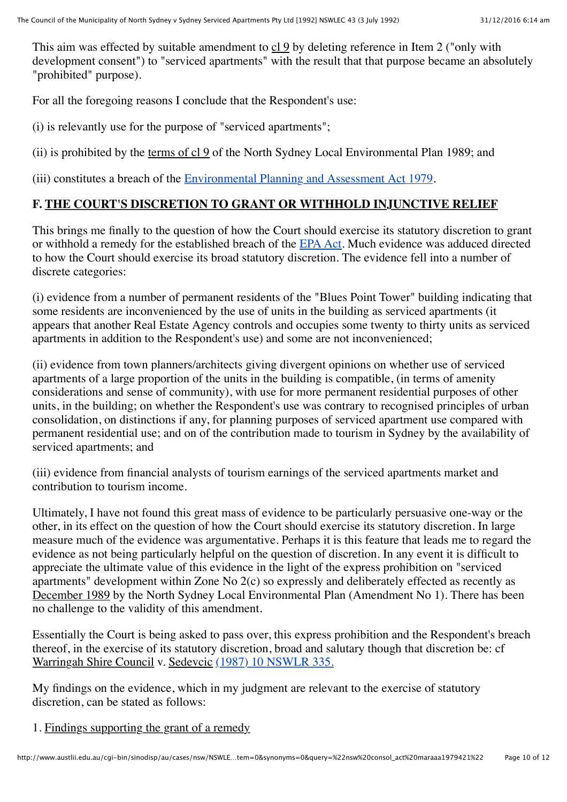This aim was effected by suitable amendment to  $c19$  by deleting reference in Item 2 ("only with development consent") to "serviced apartments" with the result that that purpose became an absolutely "prohibited" purpose).

For all the foregoing reasons I conclude that the Respondent's use:

(i) is relevantly use for the purpose of "serviced apartments";

(ii) is prohibited by the terms of cl 9 of the North Sydney Local Environmental Plan 1989; and

(iii) constitutes a breach of the [Environmental Planning and Assessment Act 1979](http://www.austlii.edu.au/au/legis/nsw/consol_act/epaaa1979389/).

#### **F. THE COURT'S DISCRETION TO GRANT OR WITHHOLD INJUNCTIVE RELIEF**

This brings me finally to the question of how the Court should exercise its statutory discretion to grant or withhold a remedy for the established breach of the [EPA Act.](http://www.austlii.edu.au/au/legis/nsw/consol_act/epaaa1979389/) Much evidence was adduced directed to how the Court should exercise its broad statutory discretion. The evidence fell into a number of discrete categories:

(i) evidence from a number of permanent residents of the "Blues Point Tower" building indicating that some residents are inconvenienced by the use of units in the building as serviced apartments (it appears that another Real Estate Agency controls and occupies some twenty to thirty units as serviced apartments in addition to the Respondent's use) and some are not inconvenienced;

(ii) evidence from town planners/architects giving divergent opinions on whether use of serviced apartments of a large proportion of the units in the building is compatible, (in terms of amenity considerations and sense of community), with use for more permanent residential purposes of other units, in the building; on whether the Respondent's use was contrary to recognised principles of urban consolidation, on distinctions if any, for planning purposes of serviced apartment use compared with permanent residential use; and on of the contribution made to tourism in Sydney by the availability of serviced apartments; and

(iii) evidence from financial analysts of tourism earnings of the serviced apartments market and contribution to tourism income.

Ultimately, I have not found this great mass of evidence to be particularly persuasive one-way or the other, in its effect on the question of how the Court should exercise its statutory discretion. In large measure much of the evidence was argumentative. Perhaps it is this feature that leads me to regard the evidence as not being particularly helpful on the question of discretion. In any event it is difficult to appreciate the ultimate value of this evidence in the light of the express prohibition on "serviced apartments" development within Zone No 2(c) so expressly and deliberately effected as recently as December 1989 by the North Sydney Local Environmental Plan (Amendment No 1). There has been no challenge to the validity of this amendment.

Essentially the Court is being asked to pass over, this express prohibition and the Respondent's breach thereof, in the exercise of its statutory discretion, broad and salutary though that discretion be: cf Warringah Shire Council v. Sedevcic [\(1987\) 10 NSWLR 335.](http://www.austlii.edu.au/cgi-bin/LawCite?cit=%281987%29%2010%20NSWLR%20335?stem=0&synonyms=0&query=%22nsw%20consol_act%20maraaa1979421%22)

My findings on the evidence, which in my judgment are relevant to the exercise of statutory discretion, can be stated as follows:

1. Findings supporting the grant of a remedy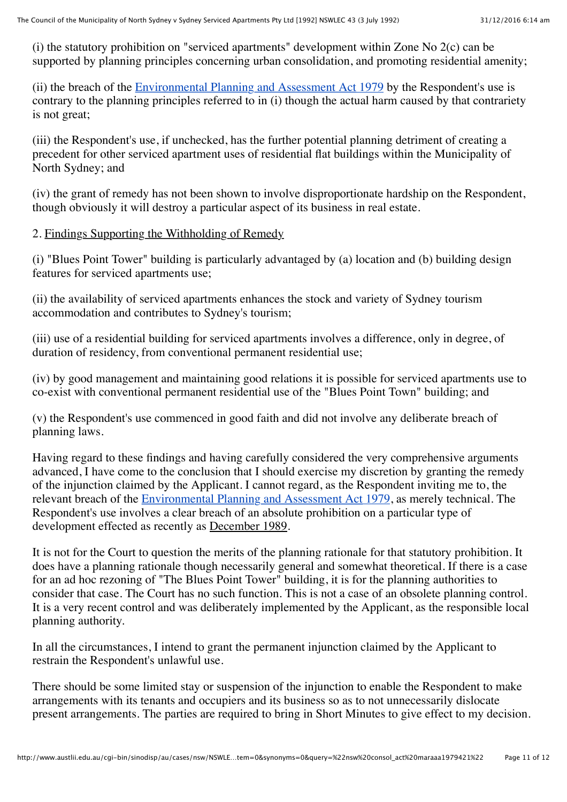(i) the statutory prohibition on "serviced apartments" development within Zone No 2(c) can be supported by planning principles concerning urban consolidation, and promoting residential amenity;

(ii) the breach of the **Environmental Planning and Assessment Act 1979** by the Respondent's use is contrary to the planning principles referred to in (i) though the actual harm caused by that contrariety is not great;

(iii) the Respondent's use, if unchecked, has the further potential planning detriment of creating a precedent for other serviced apartment uses of residential flat buildings within the Municipality of North Sydney; and

(iv) the grant of remedy has not been shown to involve disproportionate hardship on the Respondent, though obviously it will destroy a particular aspect of its business in real estate.

#### 2. Findings Supporting the Withholding of Remedy

(i) "Blues Point Tower" building is particularly advantaged by (a) location and (b) building design features for serviced apartments use;

(ii) the availability of serviced apartments enhances the stock and variety of Sydney tourism accommodation and contributes to Sydney's tourism;

(iii) use of a residential building for serviced apartments involves a difference, only in degree, of duration of residency, from conventional permanent residential use;

(iv) by good management and maintaining good relations it is possible for serviced apartments use to co-exist with conventional permanent residential use of the "Blues Point Town" building; and

(v) the Respondent's use commenced in good faith and did not involve any deliberate breach of planning laws.

Having regard to these findings and having carefully considered the very comprehensive arguments advanced, I have come to the conclusion that I should exercise my discretion by granting the remedy of the injunction claimed by the Applicant. I cannot regard, as the Respondent inviting me to, the relevant breach of the [Environmental Planning and Assessment Act 1979,](http://www.austlii.edu.au/au/legis/nsw/consol_act/epaaa1979389/) as merely technical. The Respondent's use involves a clear breach of an absolute prohibition on a particular type of development effected as recently as December 1989.

It is not for the Court to question the merits of the planning rationale for that statutory prohibition. It does have a planning rationale though necessarily general and somewhat theoretical. If there is a case for an ad hoc rezoning of "The Blues Point Tower" building, it is for the planning authorities to consider that case. The Court has no such function. This is not a case of an obsolete planning control. It is a very recent control and was deliberately implemented by the Applicant, as the responsible local planning authority.

In all the circumstances, I intend to grant the permanent injunction claimed by the Applicant to restrain the Respondent's unlawful use.

There should be some limited stay or suspension of the injunction to enable the Respondent to make arrangements with its tenants and occupiers and its business so as to not unnecessarily dislocate present arrangements. The parties are required to bring in Short Minutes to give effect to my decision.